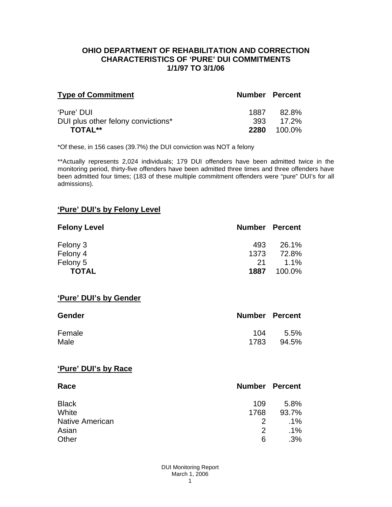### **OHIO DEPARTMENT OF REHABILITATION AND CORRECTION CHARACTERISTICS OF 'PURE' DUI COMMITMENTS 1/1/97 TO 3/1/06**

| <b>Type of Commitment</b>          | <b>Number Percent</b> |           |
|------------------------------------|-----------------------|-----------|
| 'Pure' DUI                         | 1887                  | 82.8%     |
| DUI plus other felony convictions* |                       | 393 17.2% |
| <b>TOTAL**</b>                     | 2280                  | 100.0%    |

\*Of these, in 156 cases (39.7%) the DUI conviction was NOT a felony

\*\*Actually represents 2,024 individuals; 179 DUI offenders have been admitted twice in the monitoring period, thirty-five offenders have been admitted three times and three offenders have been admitted four times; (183 of these multiple commitment offenders were "pure" DUI's for all admissions).

## **'Pure' DUI's by Felony Level**

| <b>Felony Level</b> | <b>Number Percent</b> |         |
|---------------------|-----------------------|---------|
| Felony 3            | 493                   | 26.1%   |
| Felony 4            | 1373                  | 72.8%   |
| Felony 5            | -21                   | $1.1\%$ |
| <b>TOTAL</b>        | 1887                  | 100.0%  |

#### **'Pure' DUI's by Gender**

| Gender | <b>Number Percent</b> |         |
|--------|-----------------------|---------|
| Female | 104                   | $5.5\%$ |
| Male   | 1783                  | 94.5%   |

#### **'Pure' DUI's by Race**

| Race                   | <b>Number Percent</b> |        |
|------------------------|-----------------------|--------|
| <b>Black</b>           | 109                   | 5.8%   |
| White                  | 1768                  | 93.7%  |
| <b>Native American</b> | $\mathcal{P}$         | .1%    |
| Asian                  | $\mathcal{P}$         | $.1\%$ |
| Other                  | 6                     | .3%    |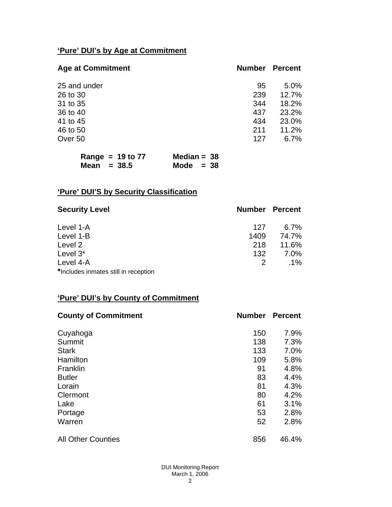# **'Pure' DUI's by Age at Commitment**

| <b>Age at Commitment</b> | <b>Number</b> | <b>Percent</b> |
|--------------------------|---------------|----------------|
| 25 and under             | 95            | 5.0%           |
| 26 to 30                 | 239           | 12.7%          |
| 31 to 35                 | 344           | 18.2%          |
| 36 to 40                 | 437           | 23.2%          |
| 41 to 45                 | 434           | 23.0%          |
| 46 to 50                 | 211           | 11.2%          |
| Over 50                  | 127           | $6.7\%$        |
|                          |               |                |

| Range = $19$ to $77$ | Median = $38$ |
|----------------------|---------------|
| Mean $= 38.5$        | Mode $= 38$   |

# **'Pure' DUI'S by Security Classification**

| <b>Security Level</b>                | <b>Number Percent</b> |         |
|--------------------------------------|-----------------------|---------|
| Level 1-A                            | 127                   | $6.7\%$ |
| Level 1-B                            | 1409                  | 74.7%   |
| Level 2                              | 218                   | 11.6%   |
| Level 3*                             | 132                   | $7.0\%$ |
| Level 4-A                            | 2                     | $.1\%$  |
| *Includes inmates still in reception |                       |         |

# **'Pure' DUI's by County of Commitment**

| <b>County of Commitment</b> | <b>Number</b> | <b>Percent</b> |
|-----------------------------|---------------|----------------|
| Cuyahoga                    | 150           | 7.9%           |
| Summit                      | 138           | 7.3%           |
| <b>Stark</b>                | 133           | 7.0%           |
| Hamilton                    | 109           | 5.8%           |
| Franklin                    | 91            | 4.8%           |
| <b>Butler</b>               | 83            | 4.4%           |
| Lorain                      | 81            | 4.3%           |
| Clermont                    | 80            | 4.2%           |
| Lake                        | 61            | 3.1%           |
| Portage                     | 53            | 2.8%           |
| Warren                      | 52            | 2.8%           |
| <b>All Other Counties</b>   | 856           | 46.4%          |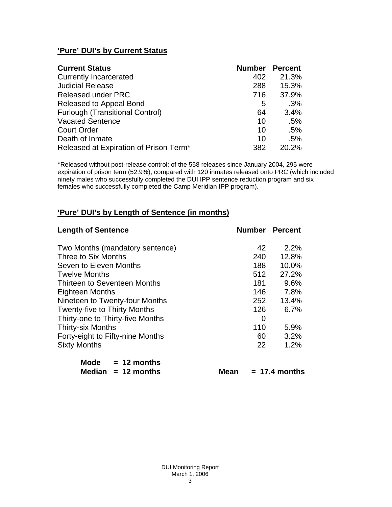# **'Pure' DUI's by Current Status**

| <b>Current Status</b>                  | <b>Number Percent</b> |       |
|----------------------------------------|-----------------------|-------|
| <b>Currently Incarcerated</b>          | 402                   | 21.3% |
| <b>Judicial Release</b>                | 288                   | 15.3% |
| <b>Released under PRC</b>              | 716                   | 37.9% |
| Released to Appeal Bond                | 5                     | .3%   |
| <b>Furlough (Transitional Control)</b> | 64                    | 3.4%  |
| <b>Vacated Sentence</b>                | 10                    | .5%   |
| <b>Court Order</b>                     | 10                    | .5%   |
| Death of Inmate                        | 10                    | .5%   |
| Released at Expiration of Prison Term* | 382                   | 20.2% |

\*Released without post-release control; of the 558 releases since January 2004, 295 were expiration of prison term (52.9%), compared with 120 inmates released onto PRC (which included ninety males who successfully completed the DUI IPP sentence reduction program and six females who successfully completed the Camp Meridian IPP program).

# **'Pure' DUI's by Length of Sentence (in months)**

| <b>Length of Sentence</b>           | <b>Number Percent</b> |       |
|-------------------------------------|-----------------------|-------|
| Two Months (mandatory sentence)     | 42                    | 2.2%  |
| Three to Six Months                 | 240                   | 12.8% |
| Seven to Eleven Months              | 188                   | 10.0% |
| <b>Twelve Months</b>                | 512                   | 27.2% |
| Thirteen to Seventeen Months        | 181                   | 9.6%  |
| Eighteen Months                     | 146                   | 7.8%  |
| Nineteen to Twenty-four Months      | 252                   | 13.4% |
| <b>Twenty-five to Thirty Months</b> | 126                   | 6.7%  |
| Thirty-one to Thirty-five Months    | 0                     |       |
| <b>Thirty-six Months</b>            | 110                   | 5.9%  |
| Forty-eight to Fifty-nine Months    | 60                    | 3.2%  |
| <b>Sixty Months</b>                 | 22                    | 1.2%  |

| Mode   | $= 12$ months |
|--------|---------------|
| Median | $= 12$ months |

 $Mean = 17.4 months$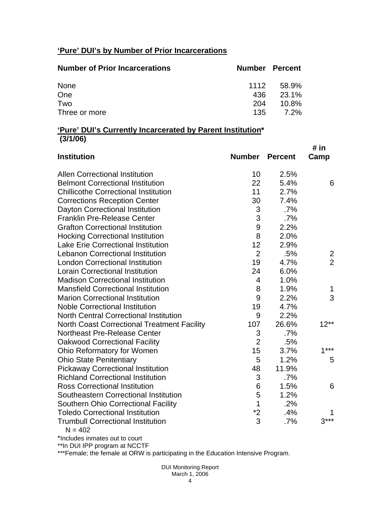# **'Pure' DUI's by Number of Prior Incarcerations**

| <b>Number of Prior Incarcerations</b> | <b>Number Percent</b> |          |
|---------------------------------------|-----------------------|----------|
| None                                  | 1112                  | 58.9%    |
| One                                   | 436                   | 23.1%    |
| Two                                   | 204                   | $10.8\%$ |
| Three or more                         | 135                   | 7.2%     |

### **'Pure' DUI's Currently Incarcerated by Parent Institution\* (3/1/06)**

| <b>Institution</b>                                    | <b>Number</b>  | <b>Percent</b> | # in<br>Camp   |
|-------------------------------------------------------|----------------|----------------|----------------|
| <b>Allen Correctional Institution</b>                 | 10             | 2.5%           |                |
| <b>Belmont Correctional Institution</b>               | 22             | 5.4%           | 6              |
| <b>Chillicothe Correctional Institution</b>           | 11             | 2.7%           |                |
| <b>Corrections Reception Center</b>                   | 30             | 7.4%           |                |
| Dayton Correctional Institution                       | 3              | .7%            |                |
| <b>Franklin Pre-Release Center</b>                    | 3              | .7%            |                |
| <b>Grafton Correctional Institution</b>               | 9              | 2.2%           |                |
| <b>Hocking Correctional Institution</b>               | 8              | 2.0%           |                |
| <b>Lake Erie Correctional Institution</b>             | 12             | 2.9%           |                |
| <b>Lebanon Correctional Institution</b>               | $\overline{2}$ | .5%            | 2              |
| <b>London Correctional Institution</b>                | 19             | 4.7%           | $\overline{2}$ |
| <b>Lorain Correctional Institution</b>                | 24             | 6.0%           |                |
| <b>Madison Correctional Institution</b>               | 4              | 1.0%           |                |
| <b>Mansfield Correctional Institution</b>             | 8              | 1.9%           | 1              |
| <b>Marion Correctional Institution</b>                | 9              | 2.2%           | 3              |
| <b>Noble Correctional Institution</b>                 | 19             | 4.7%           |                |
| <b>North Central Correctional Institution</b>         | 9              | 2.2%           |                |
| <b>North Coast Correctional Treatment Facility</b>    | 107            | 26.6%          | $12**$         |
| <b>Northeast Pre-Release Center</b>                   | 3              | .7%            |                |
| <b>Oakwood Correctional Facility</b>                  | $\overline{2}$ | .5%            |                |
| Ohio Reformatory for Women                            | 15             | 3.7%           | $1***$         |
| <b>Ohio State Penitentiary</b>                        | 5              | 1.2%           | 5              |
| <b>Pickaway Correctional Institution</b>              | 48             | 11.9%          |                |
| <b>Richland Correctional Institution</b>              | 3              | $.7\%$         |                |
| <b>Ross Correctional Institution</b>                  | 6              | 1.5%           | 6              |
| Southeastern Correctional Institution                 | 5              | 1.2%           |                |
| <b>Southern Ohio Correctional Facility</b>            | 1              | .2%            |                |
| <b>Toledo Correctional Institution</b>                | $*2$           | .4%            |                |
| <b>Trumbull Correctional Institution</b><br>$N = 402$ | 3              | .7%            | $3***$         |

\*Includes inmates out to court

\*\*In DUI IPP program at NCCTF

\*\*\*Female; the female at ORW is participating in the Education Intensive Program.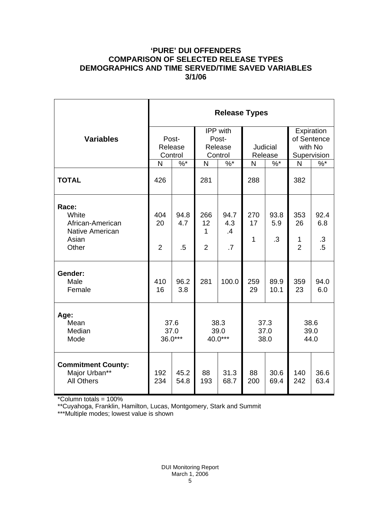## **'PURE' DUI OFFENDERS COMPARISON OF SELECTED RELEASE TYPES DEMOGRAPHICS AND TIME SERVED/TIME SAVED VARIABLES 3/1/06**

|                                                                         | <b>Release Types</b>        |                       |                                                |                                      |                            |                          |                                                     |                                    |  |
|-------------------------------------------------------------------------|-----------------------------|-----------------------|------------------------------------------------|--------------------------------------|----------------------------|--------------------------|-----------------------------------------------------|------------------------------------|--|
| <b>Variables</b>                                                        | Post-<br>Release<br>Control |                       | <b>IPP</b> with<br>Post-<br>Release<br>Control |                                      | <b>Judicial</b><br>Release |                          | Expiration<br>of Sentence<br>with No<br>Supervision |                                    |  |
|                                                                         | N                           | $\%$ *                | N                                              | $\%$ *                               | N                          | $\%$ *                   | N                                                   | $\%$                               |  |
| <b>TOTAL</b>                                                            | 426                         |                       | 281                                            |                                      | 288                        |                          | 382                                                 |                                    |  |
| Race:<br>White<br>African-American<br>Native American<br>Asian<br>Other | 404<br>20<br>$\overline{2}$ | 94.8<br>4.7<br>$.5\,$ | 266<br>12<br>1<br>$\overline{2}$               | 94.7<br>4.3<br>.4<br>$\overline{.7}$ | 270<br>17<br>$\mathbf{1}$  | 93.8<br>5.9<br>$\cdot$ 3 | 353<br>26<br>1<br>$\overline{2}$                    | 92.4<br>6.8<br>$\cdot$ 3<br>$.5\,$ |  |
| Gender:<br>Male<br>Female                                               | 410<br>16                   | 96.2<br>3.8           | 281                                            | 100.0                                | 259<br>29                  | 89.9<br>10.1             | 359<br>23                                           | 94.0<br>6.0                        |  |
| Age:<br>Mean<br>Median<br>Mode                                          | 37.6<br>37.0<br>36.0***     |                       | 38.3<br>39.0<br>40.0***                        |                                      | 37.3<br>37.0<br>38.0       |                          | 38.6<br>39.0<br>44.0                                |                                    |  |
| <b>Commitment County:</b><br>Major Urban**<br><b>All Others</b>         | 192<br>234                  | 45.2<br>54.8          | 88<br>193                                      | 31.3<br>68.7                         | 88<br>200                  | 30.6<br>69.4             | 140<br>242                                          | 36.6<br>63.4                       |  |

\*Column totals = 100%

\*\*Cuyahoga, Franklin, Hamilton, Lucas, Montgomery, Stark and Summit

\*\*\*Multiple modes; lowest value is shown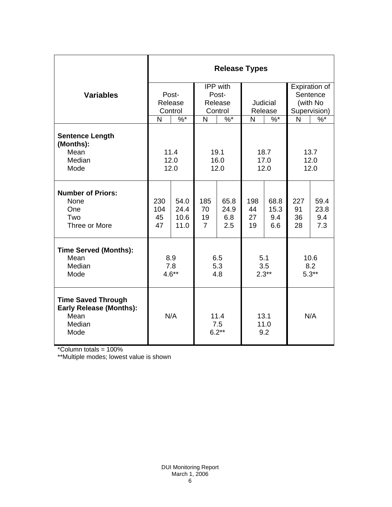|                                                                                       | <b>Release Types</b>        |                              |                                         |                            |                       |                            |                                                       |                            |
|---------------------------------------------------------------------------------------|-----------------------------|------------------------------|-----------------------------------------|----------------------------|-----------------------|----------------------------|-------------------------------------------------------|----------------------------|
| <b>Variables</b>                                                                      | Post-<br>Release<br>Control |                              | IPP with<br>Post-<br>Release<br>Control |                            | Judicial<br>Release   |                            | Expiration of<br>Sentence<br>(with No<br>Supervision) |                            |
|                                                                                       | N                           | $\%^{*}$                     | N                                       | $\%$ *                     | N<br>$\%$ *           |                            | N                                                     | $\frac{9}{6}$              |
| <b>Sentence Length</b><br>(Months):<br>Mean<br>Median<br>Mode                         | 11.4<br>12.0<br>12.0        |                              | 19.1<br>16.0<br>12.0                    |                            | 18.7<br>17.0<br>12.0  |                            | 13.7<br>12.0<br>12.0                                  |                            |
| <b>Number of Priors:</b><br>None<br>One<br>Two<br>Three or More                       | 230<br>104<br>45<br>47      | 54.0<br>24.4<br>10.6<br>11.0 | 185<br>70<br>19<br>$\overline{7}$       | 65.8<br>24.9<br>6.8<br>2.5 | 198<br>44<br>27<br>19 | 68.8<br>15.3<br>9.4<br>6.6 | 227<br>91<br>36<br>28                                 | 59.4<br>23.8<br>9.4<br>7.3 |
| <b>Time Served (Months):</b><br>Mean<br>Median<br>Mode                                | 8.9<br>7.8<br>$4.6**$       |                              | 6.5<br>5.3<br>4.8                       |                            | 5.1<br>3.5<br>$2.3**$ |                            | 10.6<br>8.2<br>$5.3**$                                |                            |
| <b>Time Saved Through</b><br><b>Early Release (Months):</b><br>Mean<br>Median<br>Mode | N/A                         |                              | 11.4<br>7.5<br>$6.2**$                  |                            | 13.1<br>11.0<br>9.2   |                            | N/A                                                   |                            |

\*Column totals = 100%

\*\*Multiple modes; lowest value is shown